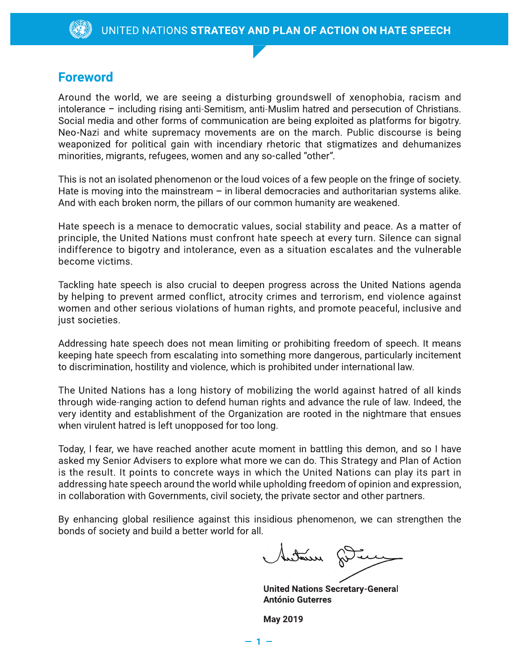## **Foreword**

Around the world, we are seeing a disturbing groundswell of xenophobia, racism and intolerance - including rising anti-Semitism, anti-Muslim hatred and persecution of Christians. Social media and other forms of communication are being exploited as platforms for bigotry. Neo-Nazi and white supremacy movements are on the march. Public discourse is being weaponized for political gain with incendiary rhetoric that stigmatizes and dehumanizes minorities, migrants, refugees, women and any so-called "other".

This is not an isolated phenomenon or the loud voices of a few people on the fringe of society. Hate is moving into the mainstream  $-$  in liberal democracies and authoritarian systems alike. And with each broken norm, the pillars of our common humanity are weakened.

Hate speech is a menace to democratic values, social stability and peace. As a matter of principle, the United Nations must confront hate speech at every turn. Silence can signal indifference to bigotry and intolerance, even as a situation escalates and the vulnerable become victims.

Tackling hate speech is also crucial to deepen progress across the United Nations agenda by helping to prevent armed conflict, atrocity crimes and terrorism, end violence against women and other serious violations of human rights, and promote peaceful, inclusive and just societies.

Addressing hate speech does not mean limiting or prohibiting freedom of speech. It means keeping hate speech from escalating into something more dangerous, particularly incitement to discrimination, hostility and violence, which is prohibited under international law.

The United Nations has a long history of mobilizing the world against hatred of all kinds through wide-ranging action to defend human rights and advance the rule of law. Indeed, the very identity and establishment of the Organization are rooted in the nightmare that ensues when virulent hatred is left unopposed for too long.

Today, I fear, we have reached another acute moment in battling this demon, and so I have asked my Senior Advisers to explore what more we can do. This Strategy and Plan of Action is the result. It points to concrete ways in which the United Nations can play its part in addressing hate speech around the world while upholding freedom of opinion and expression, in collaboration with Governments, civil society, the private sector and other partners.

By enhancing global resilience against this insidious phenomenon, we can strengthen the bonds of society and build a better world for all.

metern

**United Nations Secretary-General António Guterres** 

**May 2019**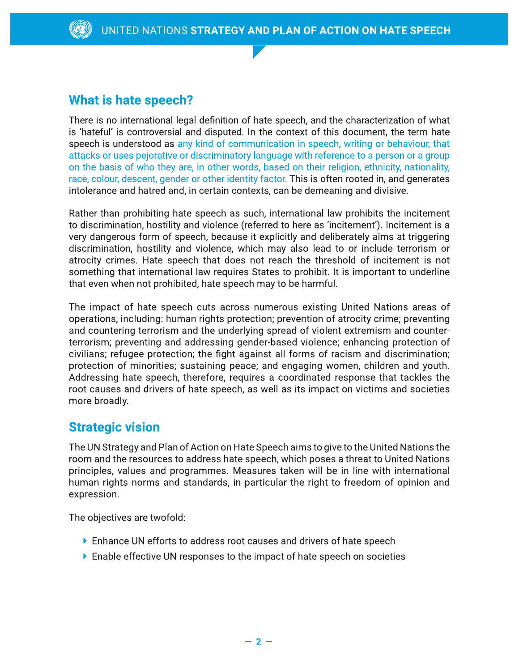## **What is hate speech?**

There is no international legal definition of hate speech, and the characterization of what is 'hateful' is controversial and disputed. In the context of this document, the term hate speech is understood as any kind of communication in speech, writing or behaviour, that attacks or uses pejorative or discriminatory language with reference to a person or a group on the basis of who they are, in other words, based on their religion, ethnicity, nationality, race, colour, descent, gender or other identity factor. This is often rooted in, and generates intolerance and hatred and, in certain contexts, can be demeaning and divisive.

Rather than prohibiting hate speech as such, international law prohibits the incitement to discrimination, hostility and violence (referred to here as 'incitement'). Incitement is a very dangerous form of speech, because it explicitly and deliberately aims at triggering discrimination, hostility and violence, which may also lead to or include terrorism or atrocity crimes. Hate speech that does not reach the threshold of incitement is not something that international law requires States to prohibit. It is important to underline that even when not prohibited, hate speech may to be harmful.

The impact of hate speech cuts across numerous existing United Nations areas of operations, including: human rights protection; prevention of atrocity crime; preventing and countering terrorism and the underlying spread of violent extremism and counterterrorism; preventing and addressing gender-based violence; enhancing protection of civilians; refugee protection; the fight against all forms of racism and discrimination; protection of minorities; sustaining peace; and engaging women, children and youth. Addressing hate speech, therefore, requires a coordinated response that tackles the root causes and drivers of hate speech, as well as its impact on victims and societies more broadly.

## **Strategic vision**

The UN Strategy and Plan of Action on Hate Speech aims to give to the United Nations the room and the resources to address hate speech, which poses a threat to United Nations principles, values and programmes. Measures taken will be in line with international human rights norms and standards, in particular the right to freedom of opinion and expression.

The objectives are twofold:

- ▶ Enhance UN efforts to address root causes and drivers of hate speech
- $\triangleright$  Enable effective UN responses to the impact of hate speech on societies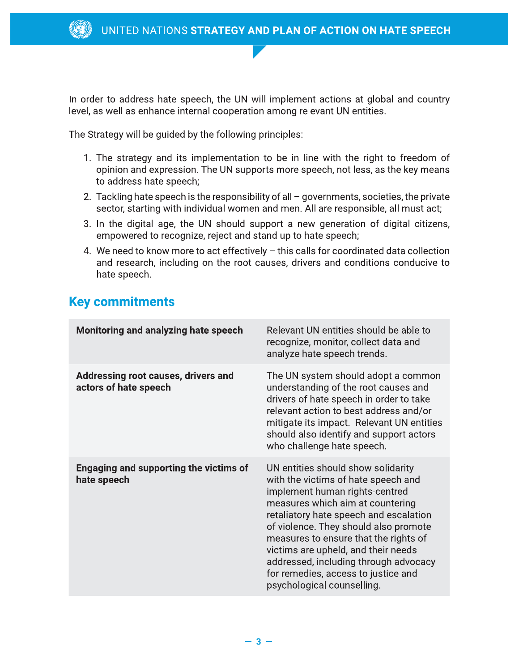

In order to address hate speech, the UN will implement actions at global and country level, as well as enhance internal cooperation among relevant UN entities.

The Strategy will be guided by the following principles:

- 1. The strategy and its implementation to be in line with the right to freedom of opinion and expression. The UN supports more speech, not less, as the key means to address hate speech;
- 2. Tackling hate speech is the responsibility of all governments, societies, the private sector, starting with individual women and men. All are responsible, all must act;
- 3. In the digital age, the UN should support a new generation of digital citizens, empowered to recognize, reject and stand up to hate speech;
- 4. We need to know more to act effectively this calls for coordinated data collection and research, including on the root causes, drivers and conditions conducive to hate speech.

## **Key commitments**

| <b>Monitoring and analyzing hate speech</b>                  | Relevant UN entities should be able to<br>recognize, monitor, collect data and<br>analyze hate speech trends.                                                                                                                                                                                                                                                                                                                    |
|--------------------------------------------------------------|----------------------------------------------------------------------------------------------------------------------------------------------------------------------------------------------------------------------------------------------------------------------------------------------------------------------------------------------------------------------------------------------------------------------------------|
| Addressing root causes, drivers and<br>actors of hate speech | The UN system should adopt a common<br>understanding of the root causes and<br>drivers of hate speech in order to take<br>relevant action to best address and/or<br>mitigate its impact. Relevant UN entities<br>should also identify and support actors<br>who challenge hate speech.                                                                                                                                           |
| <b>Engaging and supporting the victims of</b><br>hate speech | UN entities should show solidarity<br>with the victims of hate speech and<br>implement human rights-centred<br>measures which aim at countering<br>retaliatory hate speech and escalation<br>of violence. They should also promote<br>measures to ensure that the rights of<br>victims are upheld, and their needs<br>addressed, including through advocacy<br>for remedies, access to justice and<br>psychological counselling. |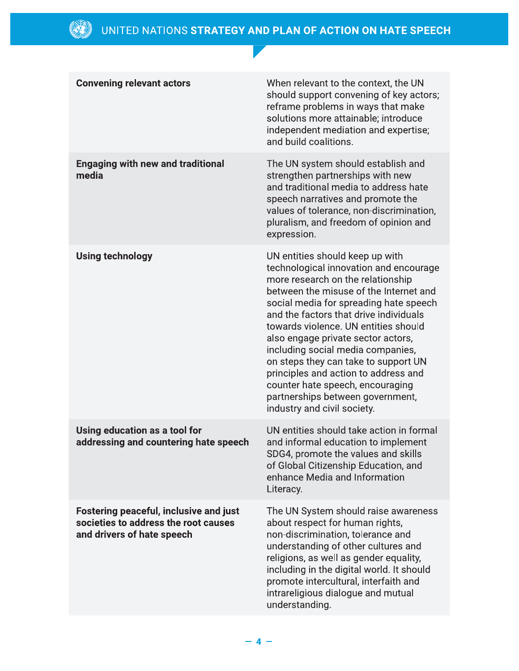| <b>Convening relevant actors</b>                                                                                    | When relevant to the context, the UN<br>should support convening of key actors;<br>reframe problems in ways that make<br>solutions more attainable; introduce<br>independent mediation and expertise;<br>and build coalitions.                                                                                                                                                                                                                                                                                                                         |
|---------------------------------------------------------------------------------------------------------------------|--------------------------------------------------------------------------------------------------------------------------------------------------------------------------------------------------------------------------------------------------------------------------------------------------------------------------------------------------------------------------------------------------------------------------------------------------------------------------------------------------------------------------------------------------------|
| <b>Engaging with new and traditional</b><br>media                                                                   | The UN system should establish and<br>strengthen partnerships with new<br>and traditional media to address hate<br>speech narratives and promote the<br>values of tolerance, non-discrimination,<br>pluralism, and freedom of opinion and<br>expression.                                                                                                                                                                                                                                                                                               |
| <b>Using technology</b>                                                                                             | UN entities should keep up with<br>technological innovation and encourage<br>more research on the relationship<br>between the misuse of the Internet and<br>social media for spreading hate speech<br>and the factors that drive individuals<br>towards violence. UN entities should<br>also engage private sector actors,<br>including social media companies,<br>on steps they can take to support UN<br>principles and action to address and<br>counter hate speech, encouraging<br>partnerships between government,<br>industry and civil society. |
| Using education as a tool for<br>addressing and countering hate speech                                              | UN entities should take action in formal<br>and informal education to implement<br>SDG4, promote the values and skills<br>of Global Citizenship Education, and<br>enhance Media and Information<br>Literacy.                                                                                                                                                                                                                                                                                                                                           |
| <b>Fostering peaceful, inclusive and just</b><br>societies to address the root causes<br>and drivers of hate speech | The UN System should raise awareness<br>about respect for human rights,<br>non-discrimination, tolerance and<br>understanding of other cultures and<br>religions, as well as gender equality,<br>including in the digital world. It should<br>promote intercultural, interfaith and<br>intrareligious dialogue and mutual<br>understanding.                                                                                                                                                                                                            |